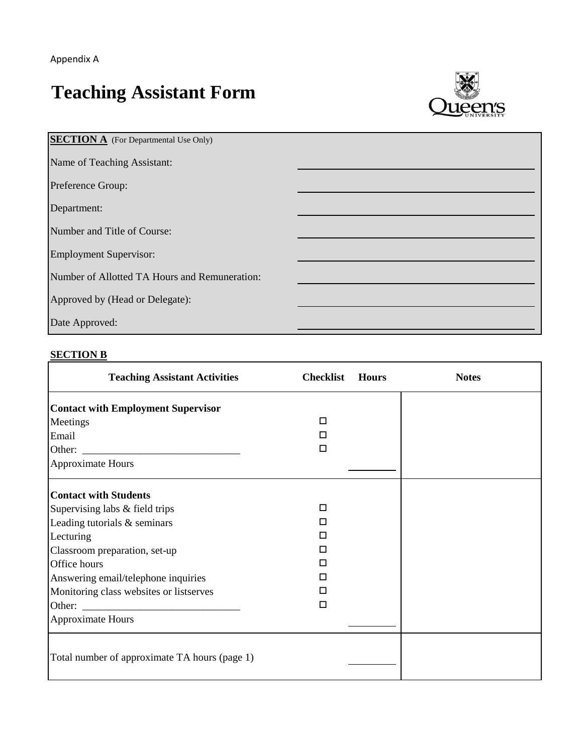$\blacksquare$ 

## **Teaching Assistant Form**



| <b>SECTION A</b> (For Departmental Use Only)  |  |
|-----------------------------------------------|--|
| Name of Teaching Assistant:                   |  |
| Preference Group:                             |  |
| Department:                                   |  |
| Number and Title of Course:                   |  |
| <b>Employment Supervisor:</b>                 |  |
| Number of Allotted TA Hours and Remuneration: |  |
| Approved by (Head or Delegate):               |  |
| Date Approved:                                |  |

## **SECTION B**

| <b>Teaching Assistant Activities</b>                                                                                                                                                                                                                                | <b>Checklist</b>                     | <b>Hours</b> | <b>Notes</b> |
|---------------------------------------------------------------------------------------------------------------------------------------------------------------------------------------------------------------------------------------------------------------------|--------------------------------------|--------------|--------------|
| <b>Contact with Employment Supervisor</b><br>Meetings<br>Email<br><b>Approximate Hours</b>                                                                                                                                                                          | П<br>п<br>П                          |              |              |
| <b>Contact with Students</b><br>Supervising labs & field trips<br>Leading tutorials & seminars<br>Lecturing<br>Classroom preparation, set-up<br>Office hours<br>Answering email/telephone inquiries<br>Monitoring class websites or listserves<br>Approximate Hours | $\Box$<br>п<br>П<br>п<br>п<br>п<br>□ |              |              |
| Total number of approximate TA hours (page 1)                                                                                                                                                                                                                       |                                      |              |              |